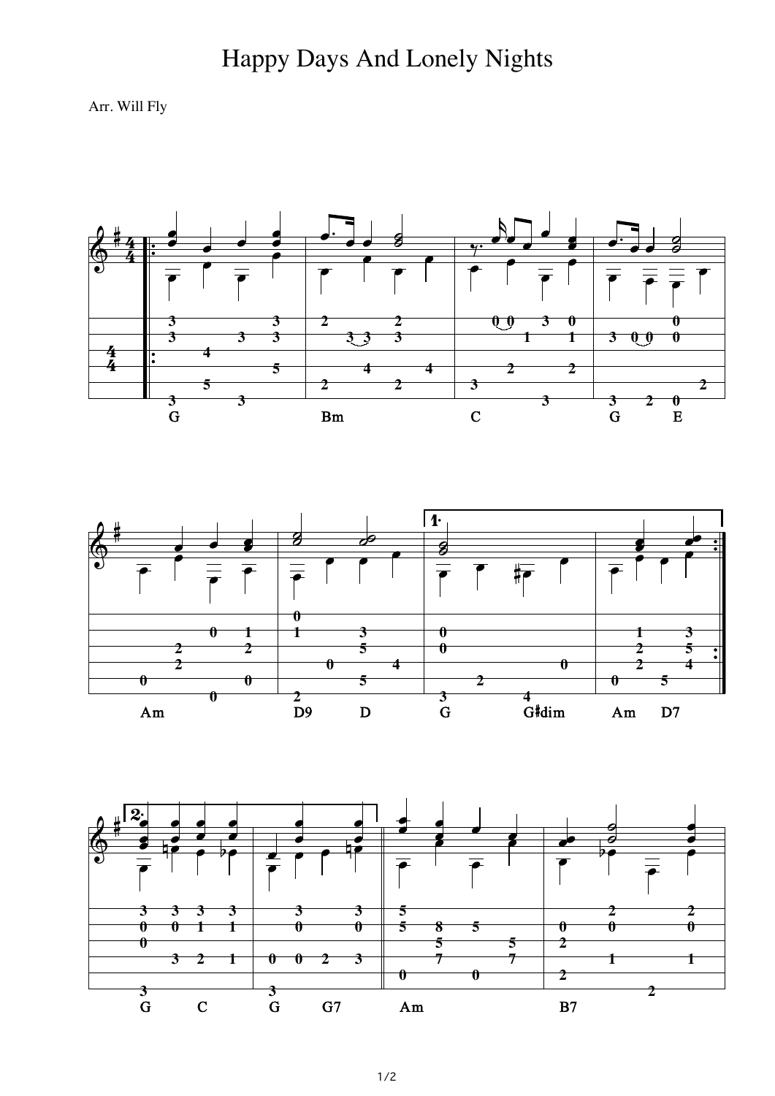## Happy Days And Lonely Nights

Arr. Will Fly